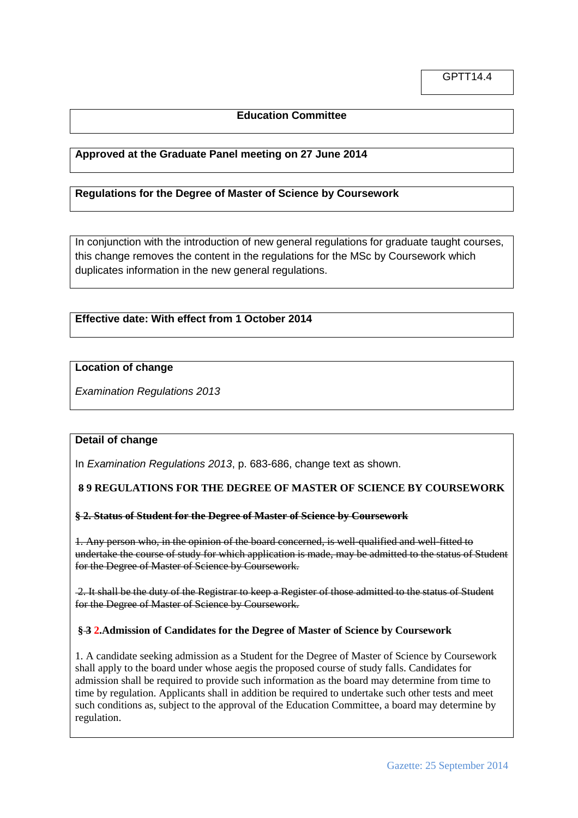## **Education Committee**

## **Approved at the Graduate Panel meeting on 27 June 2014**

## **Regulations for the Degree of Master of Science by Coursework**

In conjunction with the introduction of new general regulations for graduate taught courses, this change removes the content in the regulations for the MSc by Coursework which duplicates information in the new general regulations.

# **Effective date: With effect from 1 October 2014**

#### **Location of change**

*Examination Regulations 2013*

#### **Detail of change**

In *Examination Regulations 2013*, p. 683-686, change text as shown.

#### **8 9 REGULATIONS FOR THE DEGREE OF MASTER OF SCIENCE BY COURSEWORK**

#### **§ 2. Status of Student for the Degree of Master of Science by Coursework**

1. Any person who, in the opinion of the board concerned, is well-qualified and well-fitted to undertake the course of study for which application is made, may be admitted to the status of Student for the Degree of Master of Science by Coursework.

2. It shall be the duty of the Registrar to keep a Register of those admitted to the status of Student for the Degree of Master of Science by Coursework.

#### **§ 3 2.Admission of Candidates for the Degree of Master of Science by Coursework**

1. A candidate seeking admission as a Student for the Degree of Master of Science by Coursework shall apply to the board under whose aegis the proposed course of study falls. Candidates for admission shall be required to provide such information as the board may determine from time to time by regulation. Applicants shall in addition be required to undertake such other tests and meet such conditions as, subject to the approval of the Education Committee, a board may determine by regulation.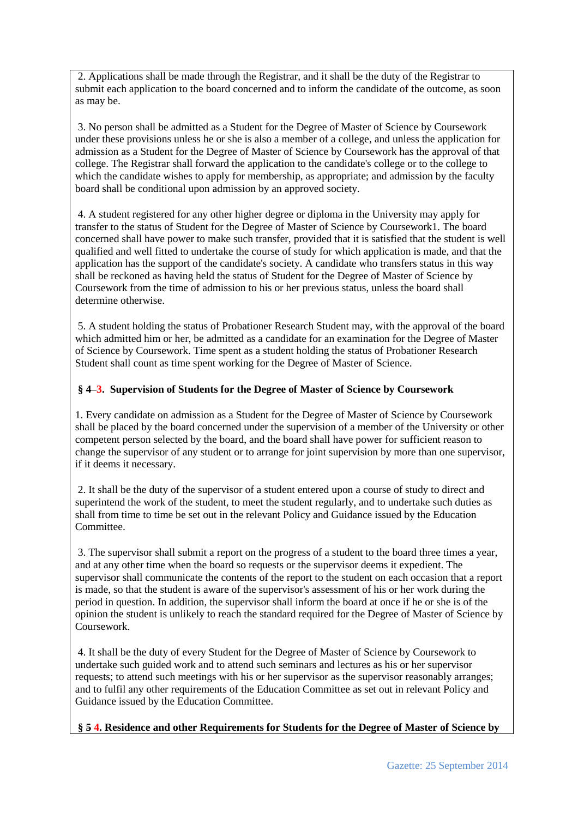2. Applications shall be made through the Registrar, and it shall be the duty of the Registrar to submit each application to the board concerned and to inform the candidate of the outcome, as soon as may be.

3. No person shall be admitted as a Student for the Degree of Master of Science by Coursework under these provisions unless he or she is also a member of a college, and unless the application for admission as a Student for the Degree of Master of Science by Coursework has the approval of that college. The Registrar shall forward the application to the candidate's college or to the college to which the candidate wishes to apply for membership, as appropriate; and admission by the faculty board shall be conditional upon admission by an approved society.

4. A student registered for any other higher degree or diploma in the University may apply for transfer to the status of Student for the Degree of Master of Science by Coursework1. The board concerned shall have power to make such transfer, provided that it is satisfied that the student is well qualified and well fitted to undertake the course of study for which application is made, and that the application has the support of the candidate's society. A candidate who transfers status in this way shall be reckoned as having held the status of Student for the Degree of Master of Science by Coursework from the time of admission to his or her previous status, unless the board shall determine otherwise.

5. A student holding the status of Probationer Research Student may, with the approval of the board which admitted him or her, be admitted as a candidate for an examination for the Degree of Master of Science by Coursework. Time spent as a student holding the status of Probationer Research Student shall count as time spent working for the Degree of Master of Science.

## **§ 4 3. Supervision of Students for the Degree of Master of Science by Coursework**

1. Every candidate on admission as a Student for the Degree of Master of Science by Coursework shall be placed by the board concerned under the supervision of a member of the University or other competent person selected by the board, and the board shall have power for sufficient reason to change the supervisor of any student or to arrange for joint supervision by more than one supervisor, if it deems it necessary.

2. It shall be the duty of the supervisor of a student entered upon a course of study to direct and superintend the work of the student, to meet the student regularly, and to undertake such duties as shall from time to time be set out in the relevant Policy and Guidance issued by the Education Committee.

3. The supervisor shall submit a report on the progress of a student to the board three times a year, and at any other time when the board so requests or the supervisor deems it expedient. The supervisor shall communicate the contents of the report to the student on each occasion that a report is made, so that the student is aware of the supervisor's assessment of his or her work during the period in question. In addition, the supervisor shall inform the board at once if he or she is of the opinion the student is unlikely to reach the standard required for the Degree of Master of Science by Coursework.

4. It shall be the duty of every Student for the Degree of Master of Science by Coursework to undertake such guided work and to attend such seminars and lectures as his or her supervisor requests; to attend such meetings with his or her supervisor as the supervisor reasonably arranges; and to fulfil any other requirements of the Education Committee as set out in relevant Policy and Guidance issued by the Education Committee.

**§ 5 4. Residence and other Requirements for Students for the Degree of Master of Science by**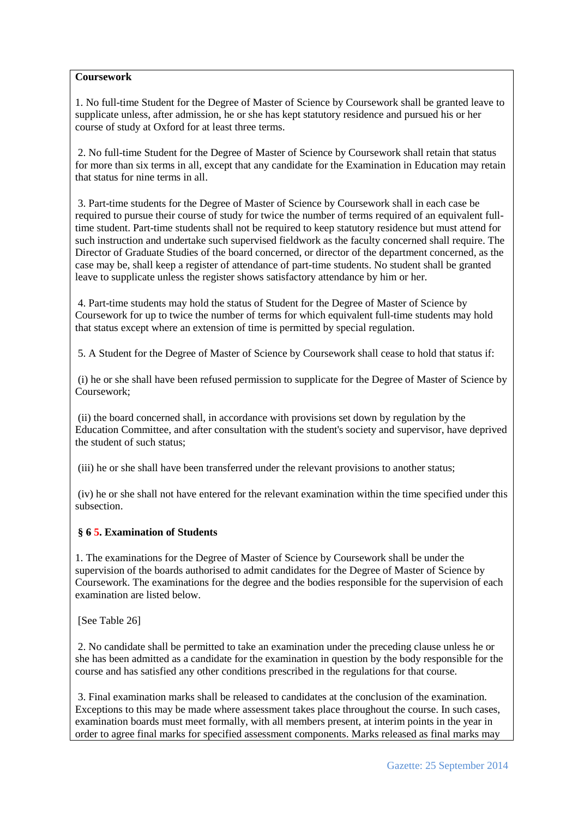## **Coursework**

1. No full-time Student for the Degree of Master of Science by Coursework shall be granted leave to supplicate unless, after admission, he or she has kept statutory residence and pursued his or her course of study at Oxford for at least three terms.

2. No full-time Student for the Degree of Master of Science by Coursework shall retain that status for more than six terms in all, except that any candidate for the Examination in Education may retain that status for nine terms in all.

3. Part-time students for the Degree of Master of Science by Coursework shall in each case be required to pursue their course of study for twice the number of terms required of an equivalent fulltime student. Part-time students shall not be required to keep statutory residence but must attend for such instruction and undertake such supervised fieldwork as the faculty concerned shall require. The Director of Graduate Studies of the board concerned, or director of the department concerned, as the case may be, shall keep a register of attendance of part-time students. No student shall be granted leave to supplicate unless the register shows satisfactory attendance by him or her.

4. Part-time students may hold the status of Student for the Degree of Master of Science by Coursework for up to twice the number of terms for which equivalent full-time students may hold that status except where an extension of time is permitted by special regulation.

5. A Student for the Degree of Master of Science by Coursework shall cease to hold that status if:

(i) he or she shall have been refused permission to supplicate for the Degree of Master of Science by Coursework;

(ii) the board concerned shall, in accordance with provisions set down by regulation by the Education Committee, and after consultation with the student's society and supervisor, have deprived the student of such status;

(iii) he or she shall have been transferred under the relevant provisions to another status;

(iv) he or she shall not have entered for the relevant examination within the time specified under this subsection.

#### **§ 6 5. Examination of Students**

1. The examinations for the Degree of Master of Science by Coursework shall be under the supervision of the boards authorised to admit candidates for the Degree of Master of Science by Coursework. The examinations for the degree and the bodies responsible for the supervision of each examination are listed below.

[See Table 26]

2. No candidate shall be permitted to take an examination under the preceding clause unless he or she has been admitted as a candidate for the examination in question by the body responsible for the course and has satisfied any other conditions prescribed in the regulations for that course.

3. Final examination marks shall be released to candidates at the conclusion of the examination. Exceptions to this may be made where assessment takes place throughout the course. In such cases, examination boards must meet formally, with all members present, at interim points in the year in order to agree final marks for specified assessment components. Marks released as final marks may